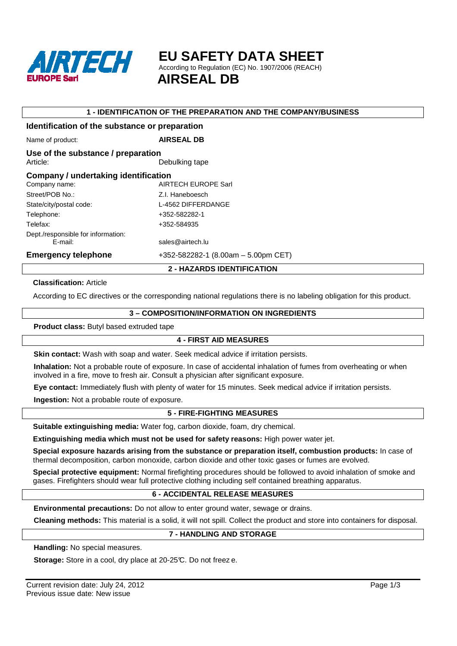

**EU SAFETY DATA SHEET** 

According to Regulation (EC) No. 1907/2006 (REACH)

 **AIRSEAL DB**

#### **1 - IDENTIFICATION OF THE PREPARATION AND THE COMPANY/BUSINESS**

# **Identification of the substance or preparation**  Name of product: **AIRSEAL DB Use of the substance / preparation**  Article: Debulking tape **Company / undertaking identification**  Company name: AIRTECH EUROPE Sarl Street/POB No.: Z.I. Haneboesch State/city/postal code: L-4562 DIFFERDANGE Telephone: +352-582282-1 Telefax: +352-584935 Dept./responsible for information: E-mail: sales@airtech.lu **Emergency telephone** +352-582282-1 (8.00am – 5.00pm CET)

#### **2 - HAZARDS IDENTIFICATION**

#### **Classification:** Article

According to EC directives or the corresponding national regulations there is no labeling obligation for this product.

#### **3 – COMPOSITION/INFORMATION ON INGREDIENTS**

**Product class:** Butyl based extruded tape

### **4 - FIRST AID MEASURES**

**Skin contact:** Wash with soap and water. Seek medical advice if irritation persists.

**Inhalation:** Not a probable route of exposure. In case of accidental inhalation of fumes from overheating or when involved in a fire, move to fresh air. Consult a physician after significant exposure.

**Eye contact:** Immediately flush with plenty of water for 15 minutes. Seek medical advice if irritation persists.

**Ingestion:** Not a probable route of exposure.

### **5 - FIRE-FIGHTING MEASURES**

**Suitable extinguishing media:** Water fog, carbon dioxide, foam, dry chemical.

**Extinguishing media which must not be used for safety reasons:** High power water jet.

**Special exposure hazards arising from the substance or preparation itself, combustion products:** In case of thermal decomposition, carbon monoxide, carbon dioxide and other toxic gases or fumes are evolved.

**Special protective equipment:** Normal firefighting procedures should be followed to avoid inhalation of smoke and gases. Firefighters should wear full protective clothing including self contained breathing apparatus.

#### **6 - ACCIDENTAL RELEASE MEASURES**

**Environmental precautions:** Do not allow to enter ground water, sewage or drains.

**Cleaning methods:** This material is a solid, it will not spill. Collect the product and store into containers for disposal.

### **7 - HANDLING AND STORAGE**

**Handling:** No special measures.

**Storage:** Store in a cool, dry place at 20-25°C. Do not freez e.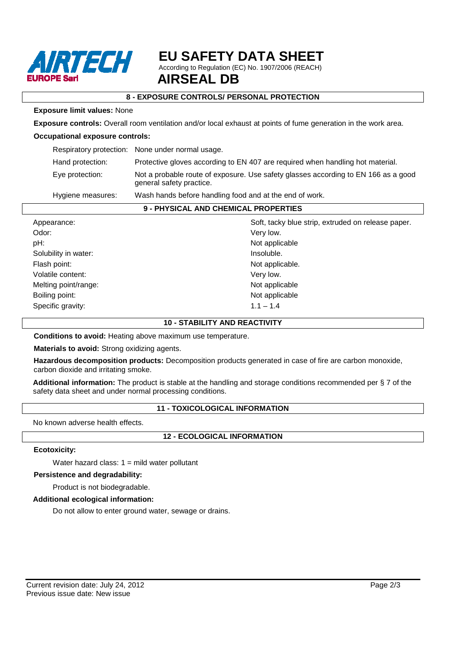

# **EU SAFETY DATA SHEET**

According to Regulation (EC) No. 1907/2006 (REACH)

# **8 - EXPOSURE CONTROLS/ PERSONAL PROTECTION**

#### **Exposure limit values:** None

**Exposure controls:** Overall room ventilation and/or local exhaust at points of fume generation in the work area.

#### **Occupational exposure controls:**

|                   | Respiratory protection: None under normal usage.                                                               |
|-------------------|----------------------------------------------------------------------------------------------------------------|
| Hand protection:  | Protective gloves according to EN 407 are required when handling hot material.                                 |
| Eye protection:   | Not a probable route of exposure. Use safety glasses according to EN 166 as a good<br>general safety practice. |
| Hygiene measures: | Wash hands before handling food and at the end of work.                                                        |

#### **9 - PHYSICAL AND CHEMICAL PROPERTIES**

| Appearance:          | Soft, tacky blue strip, extruded on release paper. |
|----------------------|----------------------------------------------------|
| Odor:                | Very low.                                          |
| pH:                  | Not applicable                                     |
| Solubility in water: | Insoluble.                                         |
| Flash point:         | Not applicable.                                    |
| Volatile content:    | Very low.                                          |
| Melting point/range: | Not applicable                                     |
| Boiling point:       | Not applicable                                     |
| Specific gravity:    | $1.1 - 1.4$                                        |

#### **10 - STABILITY AND REACTIVITY**

**Conditions to avoid:** Heating above maximum use temperature.

**Materials to avoid:** Strong oxidizing agents.

**Hazardous decomposition products:** Decomposition products generated in case of fire are carbon monoxide, carbon dioxide and irritating smoke.

**Additional information:** The product is stable at the handling and storage conditions recommended per § 7 of the safety data sheet and under normal processing conditions.

### **11 - TOXICOLOGICAL INFORMATION**

No known adverse health effects.

### **12 - ECOLOGICAL INFORMATION**

#### **Ecotoxicity:**

Water hazard class:  $1 =$  mild water pollutant

#### **Persistence and degradability:**

Product is not biodegradable.

#### **Additional ecological information:**

Do not allow to enter ground water, sewage or drains.